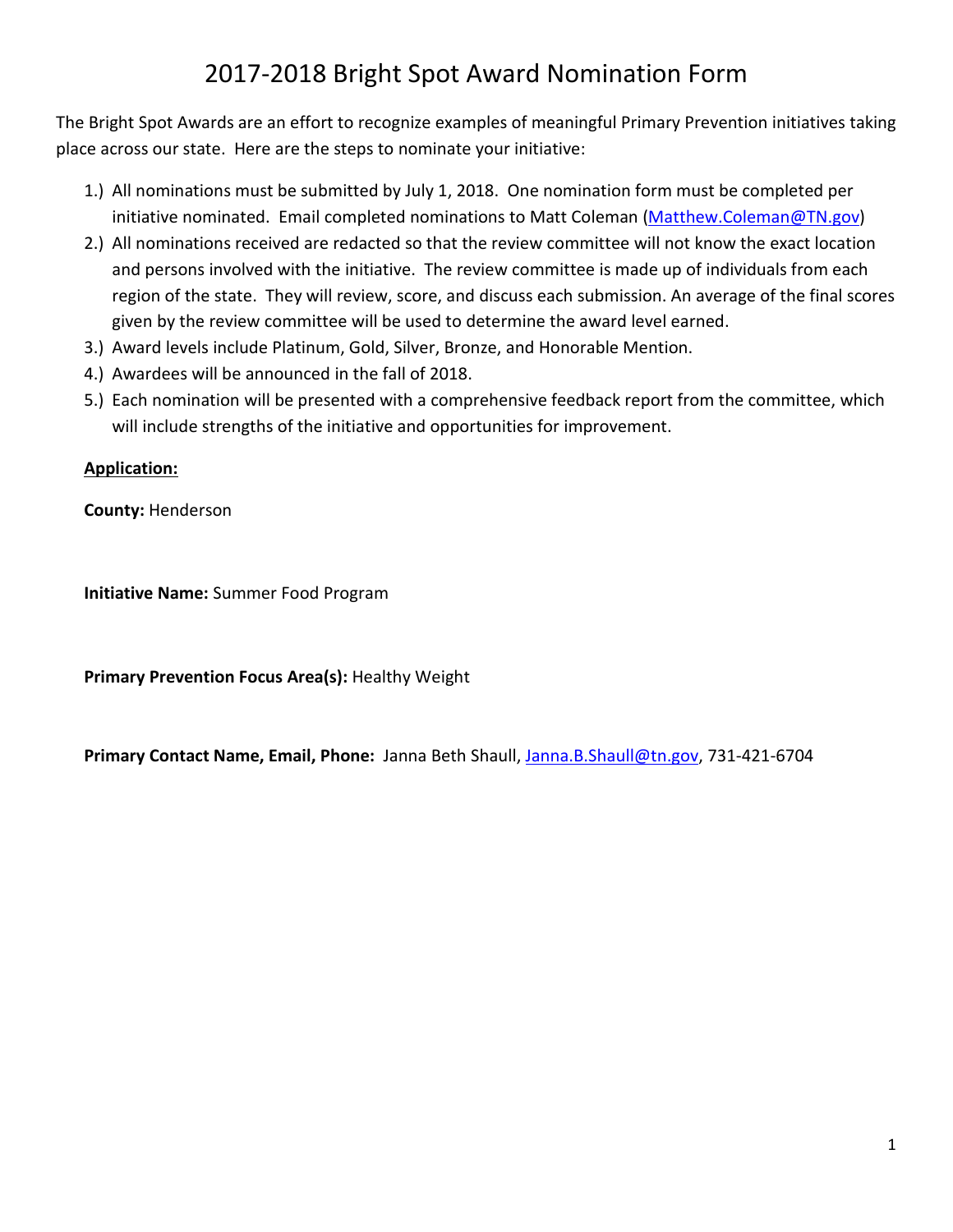# 2017-2018 Bright Spot Award Nomination Form

The Bright Spot Awards are an effort to recognize examples of meaningful Primary Prevention initiatives taking place across our state. Here are the steps to nominate your initiative:

- 1.) All nominations must be submitted by July 1, 2018. One nomination form must be completed per initiative nominated. Email completed nominations to Matt Coleman [\(Matthew.Coleman@TN.gov\)](mailto:Matthew.Coleman@TN.gov)
- 2.) All nominations received are redacted so that the review committee will not know the exact location and persons involved with the initiative. The review committee is made up of individuals from each region of the state. They will review, score, and discuss each submission. An average of the final scores given by the review committee will be used to determine the award level earned.
- 3.) Award levels include Platinum, Gold, Silver, Bronze, and Honorable Mention.
- 4.) Awardees will be announced in the fall of 2018.
- 5.) Each nomination will be presented with a comprehensive feedback report from the committee, which will include strengths of the initiative and opportunities for improvement.

#### **Application:**

**County:** Henderson

**Initiative Name:** Summer Food Program

**Primary Prevention Focus Area(s):** Healthy Weight

<span id="page-0-0"></span>**Primary Contact Name, Email, Phone:** Janna Beth Shaull[, Janna.B.Shaull@tn.gov,](mailto:Janna.B.Shaull@tn.gov) 731-421-6704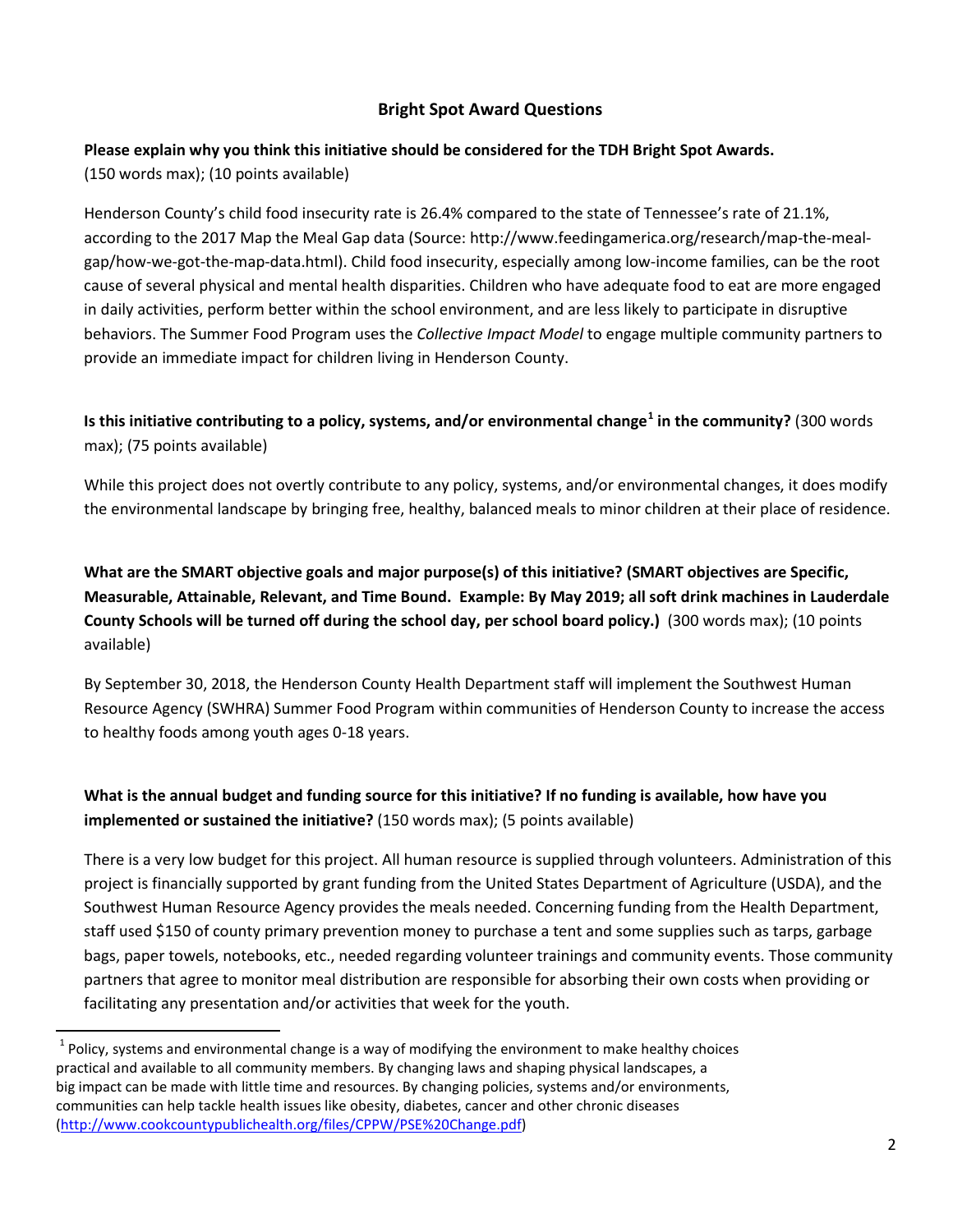#### **Bright Spot Award Questions**

# **Please explain why you think this initiative should be considered for the TDH Bright Spot Awards.**

(150 words max); (10 points available)

Henderson County's child food insecurity rate is 26.4% compared to the state of Tennessee's rate of 21.1%, according to the 2017 Map the Meal Gap data (Source: http://www.feedingamerica.org/research/map-the-mealgap/how-we-got-the-map-data.html). Child food insecurity, especially among low-income families, can be the root cause of several physical and mental health disparities. Children who have adequate food to eat are more engaged in daily activities, perform better within the school environment, and are less likely to participate in disruptive behaviors. The Summer Food Program uses the *Collective Impact Model* to engage multiple community partners to provide an immediate impact for children living in Henderson County.

**Is this initiative contributing to a policy, systems, and/or environmental change[1](#page-0-0) in the community?** (300 words max); (75 points available)

While this project does not overtly contribute to any policy, systems, and/or environmental changes, it does modify the environmental landscape by bringing free, healthy, balanced meals to minor children at their place of residence.

**What are the SMART objective goals and major purpose(s) of this initiative? (SMART objectives are Specific, Measurable, Attainable, Relevant, and Time Bound. Example: By May 2019; all soft drink machines in Lauderdale County Schools will be turned off during the school day, per school board policy.)** (300 words max); (10 points available)

By September 30, 2018, the Henderson County Health Department staff will implement the Southwest Human Resource Agency (SWHRA) Summer Food Program within communities of Henderson County to increase the access to healthy foods among youth ages 0-18 years.

# **What is the annual budget and funding source for this initiative? If no funding is available, how have you implemented or sustained the initiative?** (150 words max); (5 points available)

There is a very low budget for this project. All human resource is supplied through volunteers. Administration of this project is financially supported by grant funding from the United States Department of Agriculture (USDA), and the Southwest Human Resource Agency provides the meals needed. Concerning funding from the Health Department, staff used \$150 of county primary prevention money to purchase a tent and some supplies such as tarps, garbage bags, paper towels, notebooks, etc., needed regarding volunteer trainings and community events. Those community partners that agree to monitor meal distribution are responsible for absorbing their own costs when providing or facilitating any presentation and/or activities that week for the youth.

 $1$  Policy, systems and environmental change is a way of modifying the environment to make healthy choices practical and available to all community members. By changing laws and shaping physical landscapes, a big impact can be made with little time and resources. By changing policies, systems and/or environments, communities can help tackle health issues like obesity, diabetes, cancer and other chronic diseases [\(http://www.cookcountypublichealth.org/files/CPPW/PSE%20Change.pdf\)](http://www.cookcountypublichealth.org/files/CPPW/PSE%20Change.pdf)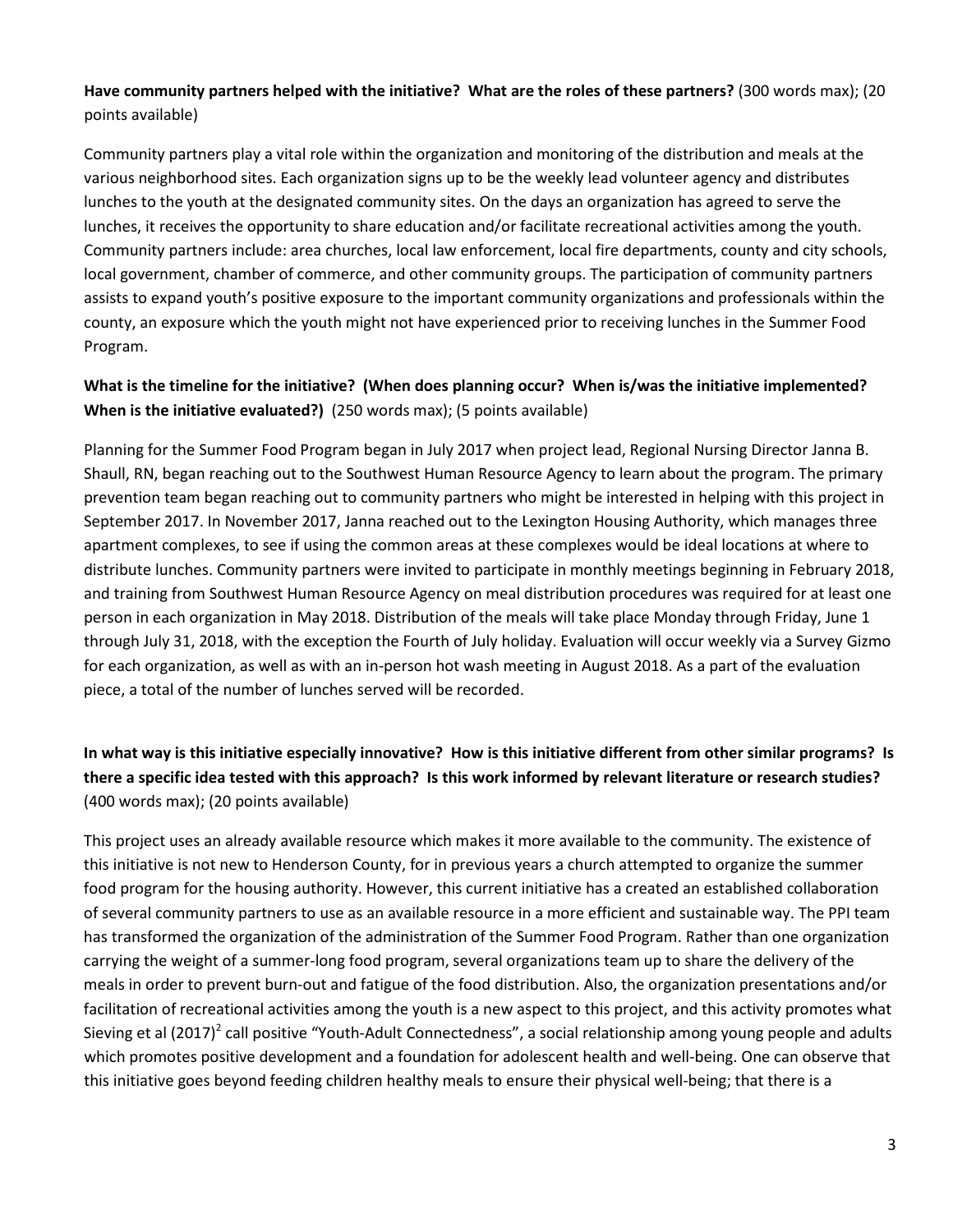#### **Have community partners helped with the initiative? What are the roles of these partners?** (300 words max); (20 points available)

Community partners play a vital role within the organization and monitoring of the distribution and meals at the various neighborhood sites. Each organization signs up to be the weekly lead volunteer agency and distributes lunches to the youth at the designated community sites. On the days an organization has agreed to serve the lunches, it receives the opportunity to share education and/or facilitate recreational activities among the youth. Community partners include: area churches, local law enforcement, local fire departments, county and city schools, local government, chamber of commerce, and other community groups. The participation of community partners assists to expand youth's positive exposure to the important community organizations and professionals within the county, an exposure which the youth might not have experienced prior to receiving lunches in the Summer Food Program.

#### **What is the timeline for the initiative? (When does planning occur? When is/was the initiative implemented? When is the initiative evaluated?)** (250 words max); (5 points available)

Planning for the Summer Food Program began in July 2017 when project lead, Regional Nursing Director Janna B. Shaull, RN, began reaching out to the Southwest Human Resource Agency to learn about the program. The primary prevention team began reaching out to community partners who might be interested in helping with this project in September 2017. In November 2017, Janna reached out to the Lexington Housing Authority, which manages three apartment complexes, to see if using the common areas at these complexes would be ideal locations at where to distribute lunches. Community partners were invited to participate in monthly meetings beginning in February 2018, and training from Southwest Human Resource Agency on meal distribution procedures was required for at least one person in each organization in May 2018. Distribution of the meals will take place Monday through Friday, June 1 through July 31, 2018, with the exception the Fourth of July holiday. Evaluation will occur weekly via a Survey Gizmo for each organization, as well as with an in-person hot wash meeting in August 2018. As a part of the evaluation piece, a total of the number of lunches served will be recorded.

# **In what way is this initiative especially innovative? How is this initiative different from other similar programs? Is there a specific idea tested with this approach? Is this work informed by relevant literature or research studies?**  (400 words max); (20 points available)

This project uses an already available resource which makes it more available to the community. The existence of this initiative is not new to Henderson County, for in previous years a church attempted to organize the summer food program for the housing authority. However, this current initiative has a created an established collaboration of several community partners to use as an available resource in a more efficient and sustainable way. The PPI team has transformed the organization of the administration of the Summer Food Program. Rather than one organization carrying the weight of a summer-long food program, several organizations team up to share the delivery of the meals in order to prevent burn-out and fatigue of the food distribution. Also, the organization presentations and/or facilitation of recreational activities among the youth is a new aspect to this project, and this activity promotes what Sieving et al  $(2017)^2$  call positive "Youth-Adult Connectedness", a social relationship among young people and adults which promotes positive development and a foundation for adolescent health and well-being. One can observe that this initiative goes beyond feeding children healthy meals to ensure their physical well-being; that there is a